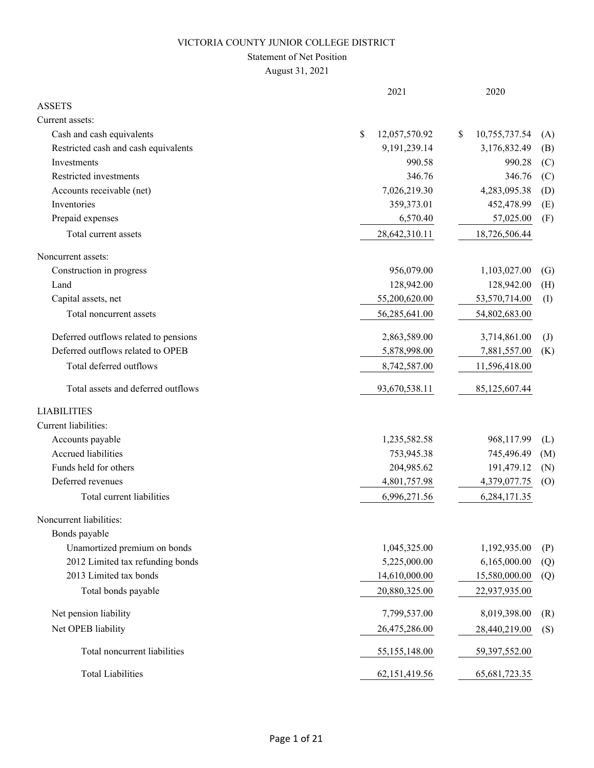### Statement of Net Position

August 31, 2021

|                                       | 2021                | 2020                |                   |
|---------------------------------------|---------------------|---------------------|-------------------|
| <b>ASSETS</b>                         |                     |                     |                   |
| Current assets:                       |                     |                     |                   |
| Cash and cash equivalents             | \$<br>12,057,570.92 | 10,755,737.54<br>\$ | (A)               |
| Restricted cash and cash equivalents  | 9,191,239.14        | 3,176,832.49        | (B)               |
| Investments                           | 990.58              | 990.28              | (C)               |
| Restricted investments                | 346.76              | 346.76              | (C)               |
| Accounts receivable (net)             | 7,026,219.30        | 4,283,095.38        | (D)               |
| Inventories                           | 359,373.01          | 452,478.99          | (E)               |
| Prepaid expenses                      | 6,570.40            | 57,025.00           | (F)               |
| Total current assets                  | 28,642,310.11       | 18,726,506.44       |                   |
| Noncurrent assets:                    |                     |                     |                   |
| Construction in progress              | 956,079.00          | 1,103,027.00        | $\left( G\right)$ |
| Land                                  | 128,942.00          | 128,942.00          | (H)               |
| Capital assets, net                   | 55,200,620.00       | 53,570,714.00       | (I)               |
| Total noncurrent assets               | 56,285,641.00       | 54,802,683.00       |                   |
| Deferred outflows related to pensions | 2,863,589.00        | 3,714,861.00        | $\left( J\right)$ |
| Deferred outflows related to OPEB     | 5,878,998.00        | 7,881,557.00        | (K)               |
| Total deferred outflows               | 8,742,587.00        | 11,596,418.00       |                   |
| Total assets and deferred outflows    | 93,670,538.11       | 85,125,607.44       |                   |
| <b>LIABILITIES</b>                    |                     |                     |                   |
| Current liabilities:                  |                     |                     |                   |
| Accounts payable                      | 1,235,582.58        | 968,117.99          | (L)               |
| Accrued liabilities                   | 753,945.38          | 745,496.49          | (M)               |
| Funds held for others                 | 204,985.62          | 191,479.12          | (N)               |
| Deferred revenues                     | 4,801,757.98        | 4,379,077.75        | (0)               |
| Total current liabilities             | 6,996,271.56        | 6,284,171.35        |                   |
| Noncurrent liabilities:               |                     |                     |                   |
| Bonds payable                         |                     |                     |                   |
| Unamortized premium on bonds          | 1,045,325.00        | 1,192,935.00        | (P)               |
| 2012 Limited tax refunding bonds      | 5,225,000.00        | 6,165,000.00        | (Q)               |
| 2013 Limited tax bonds                | 14,610,000.00       | 15,580,000.00       | (Q)               |
| Total bonds payable                   | 20,880,325.00       | 22,937,935.00       |                   |
| Net pension liability                 | 7,799,537.00        | 8,019,398.00        | (R)               |
| Net OPEB liability                    | 26,475,286.00       | 28,440,219.00       | (S)               |
| Total noncurrent liabilities          | 55,155,148.00       | 59,397,552.00       |                   |
| <b>Total Liabilities</b>              | 62,151,419.56       | 65, 681, 723. 35    |                   |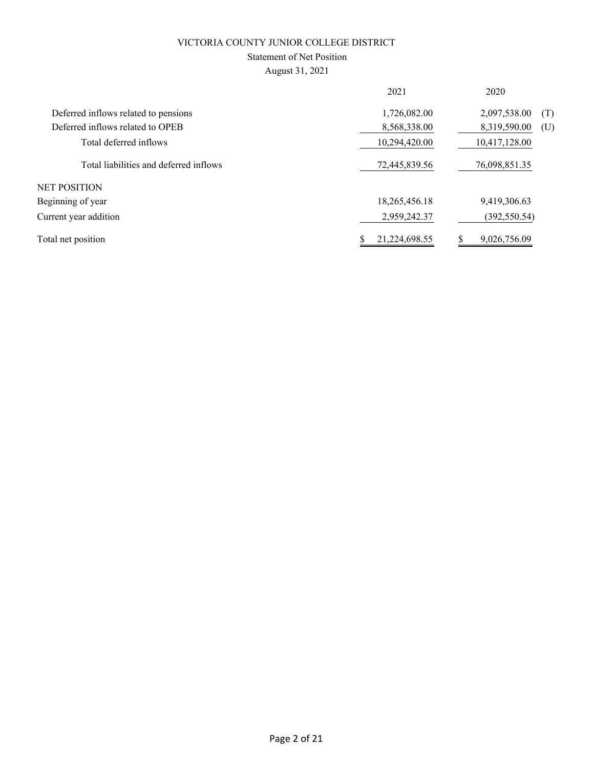### Statement of Net Position

August 31, 2021

|                                        | 2021          | 2020                |
|----------------------------------------|---------------|---------------------|
| Deferred inflows related to pensions   | 1,726,082.00  | 2,097,538.00<br>(T) |
| Deferred inflows related to OPEB       | 8,568,338.00  | 8,319,590.00<br>(U) |
| Total deferred inflows                 | 10,294,420.00 | 10,417,128.00       |
| Total liabilities and deferred inflows | 72,445,839.56 | 76,098,851.35       |
| NET POSITION                           |               |                     |
| Beginning of year                      | 18,265,456.18 | 9,419,306.63        |
| Current year addition                  | 2,959,242.37  | (392, 550.54)       |
| Total net position                     | 21,224,698.55 | 9,026,756.09        |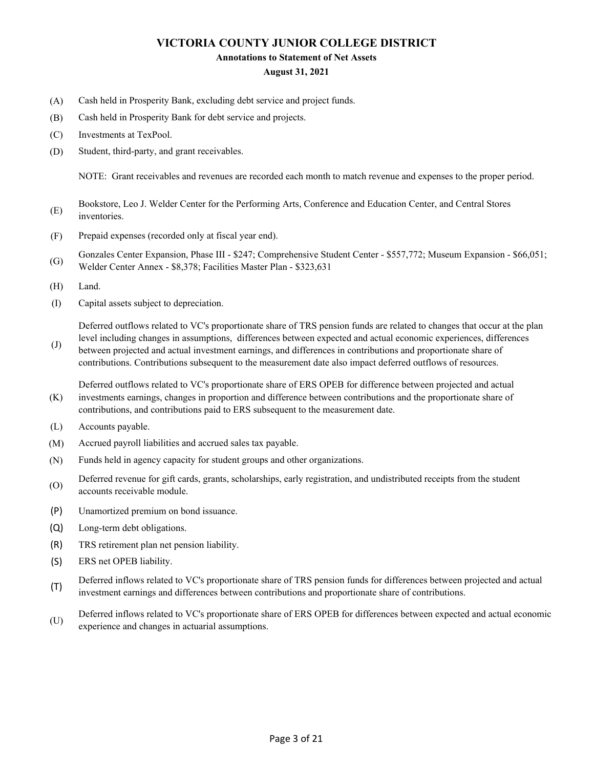#### **Annotations to Statement of Net Assets**

#### **August 31, 2021**

- (A) Cash held in Prosperity Bank, excluding debt service and project funds.
- (B) Cash held in Prosperity Bank for debt service and projects.
- (C) Investments at TexPool.
- (D) Student, third-party, and grant receivables.

NOTE: Grant receivables and revenues are recorded each month to match revenue and expenses to the proper period.

- (E) Bookstore, Leo J. Welder Center for the Performing Arts, Conference and Education Center, and Central Stores inventories.
- (F) Prepaid expenses (recorded only at fiscal year end).
- (G) Gonzales Center Expansion, Phase III - \$247; Comprehensive Student Center - \$557,772; Museum Expansion - \$66,051; Welder Center Annex - \$8,378; Facilities Master Plan - \$323,631
- (H) Land.
- (I) Capital assets subject to depreciation.

Deferred outflows related to VC's proportionate share of TRS pension funds are related to changes that occur at the plan

(J) level including changes in assumptions, differences between expected and actual economic experiences, differences between projected and actual investment earnings, and differences in contributions and proportionate share of contributions. Contributions subsequent to the measurement date also impact deferred outflows of resources.

(K) Deferred outflows related to VC's proportionate share of ERS OPEB for difference between projected and actual investments earnings, changes in proportion and difference between contributions and the proportionate share of contributions, and contributions paid to ERS subsequent to the measurement date.

- (L) Accounts payable.
- (M) Accrued payroll liabilities and accrued sales tax payable.
- (N) Funds held in agency capacity for student groups and other organizations.
- (O) Deferred revenue for gift cards, grants, scholarships, early registration, and undistributed receipts from the student accounts receivable module.
- (P) Unamortized premium on bond issuance.
- (Q) Long-term debt obligations.
- (R) TRS retirement plan net pension liability.
- (S) ERS net OPEB liability.
- (T) Deferred inflows related to VC's proportionate share of TRS pension funds for differences between projected and actual investment earnings and differences between contributions and proportionate share of contributions.
- (U) Deferred inflows related to VC's proportionate share of ERS OPEB for differences between expected and actual economic experience and changes in actuarial assumptions.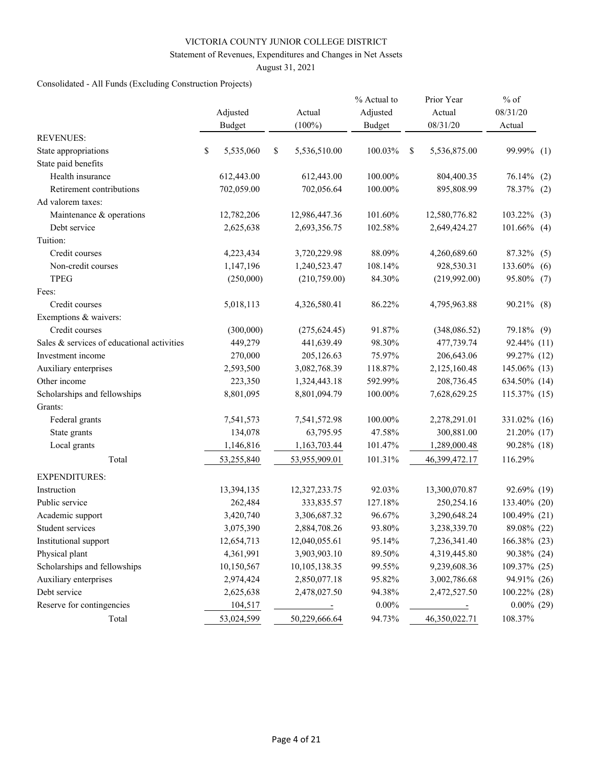#### Statement of Revenues, Expenditures and Changes in Net Assets

August 31, 2021

### Consolidated - All Funds (Excluding Construction Projects)

|                                            | Adjusted<br><b>Budget</b> | Actual<br>$(100\%)$ | % Actual to<br>Adjusted<br><b>Budget</b> |   | Prior Year<br>Actual<br>08/31/20 | $%$ of<br>08/31/20<br>Actual |
|--------------------------------------------|---------------------------|---------------------|------------------------------------------|---|----------------------------------|------------------------------|
| <b>REVENUES:</b>                           |                           |                     |                                          |   |                                  |                              |
| State appropriations                       | \$<br>5,535,060           | \$<br>5,536,510.00  | 100.03%                                  | S | 5,536,875.00                     | 99.99% (1)                   |
| State paid benefits                        |                           |                     |                                          |   |                                  |                              |
| Health insurance                           | 612,443.00                | 612,443.00          | 100.00%                                  |   | 804,400.35                       | 76.14%<br>(2)                |
| Retirement contributions                   | 702,059.00                | 702,056.64          | 100.00%                                  |   | 895,808.99                       | 78.37% (2)                   |
| Ad valorem taxes:                          |                           |                     |                                          |   |                                  |                              |
| Maintenance & operations                   | 12,782,206                | 12,986,447.36       | 101.60%                                  |   | 12,580,776.82                    | 103.22%<br>(3)               |
| Debt service                               | 2,625,638                 | 2,693,356.75        | 102.58%                                  |   | 2,649,424.27                     | $101.66\%$ (4)               |
| Tuition:                                   |                           |                     |                                          |   |                                  |                              |
| Credit courses                             | 4,223,434                 | 3,720,229.98        | 88.09%                                   |   | 4,260,689.60                     | 87.32% (5)                   |
| Non-credit courses                         | 1,147,196                 | 1,240,523.47        | 108.14%                                  |   | 928,530.31                       | 133.60%<br>(6)               |
| <b>TPEG</b>                                | (250,000)                 | (210,759.00)        | 84.30%                                   |   | (219,992.00)                     | 95.80% (7)                   |
| Fees:                                      |                           |                     |                                          |   |                                  |                              |
| Credit courses                             | 5,018,113                 | 4,326,580.41        | 86.22%                                   |   | 4,795,963.88                     | 90.21% (8)                   |
| Exemptions & waivers:                      |                           |                     |                                          |   |                                  |                              |
| Credit courses                             | (300,000)                 | (275, 624.45)       | 91.87%                                   |   | (348,086.52)                     | 79.18% (9)                   |
| Sales & services of educational activities | 449,279                   | 441,639.49          | 98.30%                                   |   | 477,739.74                       | 92.44% (11)                  |
| Investment income                          | 270,000                   | 205,126.63          | 75.97%                                   |   | 206,643.06                       | 99.27% (12)                  |
| Auxiliary enterprises                      | 2,593,500                 | 3,082,768.39        | 118.87%                                  |   | 2,125,160.48                     | 145.06% (13)                 |
| Other income                               | 223,350                   | 1,324,443.18        | 592.99%                                  |   | 208,736.45                       | 634.50% (14)                 |
| Scholarships and fellowships               | 8,801,095                 | 8,801,094.79        | 100.00%                                  |   | 7,628,629.25                     | 115.37% (15)                 |
| Grants:                                    |                           |                     |                                          |   |                                  |                              |
| Federal grants                             | 7,541,573                 | 7,541,572.98        | 100.00%                                  |   | 2,278,291.01                     | 331.02% (16)                 |
| State grants                               | 134,078                   | 63,795.95           | 47.58%                                   |   | 300,881.00                       | 21.20% (17)                  |
| Local grants                               | 1,146,816                 | 1,163,703.44        | 101.47%                                  |   | 1,289,000.48                     | 90.28% (18)                  |
| Total                                      | 53,255,840                | 53,955,909.01       | 101.31%                                  |   | 46,399,472.17                    | 116.29%                      |
| <b>EXPENDITURES:</b>                       |                           |                     |                                          |   |                                  |                              |
| Instruction                                | 13,394,135                | 12,327,233.75       | 92.03%                                   |   | 13,300,070.87                    | 92.69% (19)                  |
| Public service                             | 262,484                   | 333,835.57          | 127.18%                                  |   | 250,254.16                       | 133.40% (20)                 |
| Academic support                           | 3,420,740                 | 3,306,687.32        | 96.67%                                   |   | 3,290,648.24                     | 100.49% (21)                 |
| Student services                           | 3,075,390                 | 2,884,708.26        | 93.80%                                   |   | 3,238,339.70                     | 89.08% (22)                  |
| Institutional support                      | 12,654,713                | 12,040,055.61       | 95.14%                                   |   | 7,236,341.40                     | 166.38% (23)                 |
| Physical plant                             | 4,361,991                 | 3,903,903.10        | 89.50%                                   |   | 4,319,445.80                     | 90.38% (24)                  |
| Scholarships and fellowships               | 10,150,567                | 10,105,138.35       | 99.55%                                   |   | 9,239,608.36                     | 109.37% (25)                 |
| Auxiliary enterprises                      | 2,974,424                 | 2,850,077.18        | 95.82%                                   |   | 3,002,786.68                     | 94.91% (26)                  |
| Debt service                               | 2,625,638                 | 2,478,027.50        | 94.38%                                   |   | 2,472,527.50                     | 100.22% (28)                 |
| Reserve for contingencies                  | 104,517                   | $\equiv$            | $0.00\%$                                 |   |                                  | $0.00\%$ (29)                |
| Total                                      | 53,024,599                | 50,229,666.64       | 94.73%                                   |   | 46,350,022.71                    | 108.37%                      |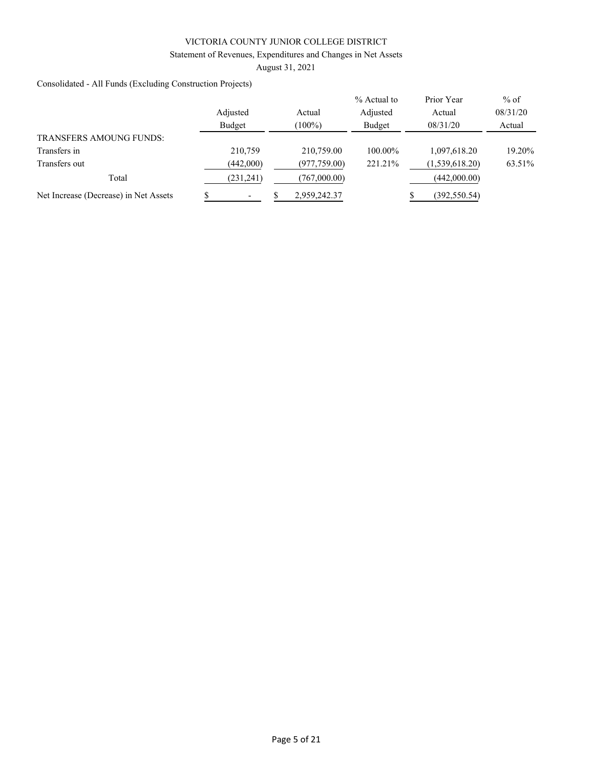#### Statement of Revenues, Expenditures and Changes in Net Assets

August 31, 2021

Consolidated - All Funds (Excluding Construction Projects)

|                                       |           |               | $%$ Actual to | Prior Year     | $%$ of   |
|---------------------------------------|-----------|---------------|---------------|----------------|----------|
|                                       | Adjusted  | Actual        | Adjusted      | Actual         | 08/31/20 |
|                                       | Budget    | $(100\%)$     | Budget        | 08/31/20       | Actual   |
| <b>TRANSFERS AMOUNG FUNDS:</b>        |           |               |               |                |          |
| Transfers in                          | 210,759   | 210,759.00    | 100.00%       | 1,097,618.20   | 19.20%   |
| Transfers out                         | (442,000) | (977, 759.00) | 221.21%       | (1,539,618.20) | 63.51%   |
| Total                                 | (231,241) | (767,000.00)  |               | (442,000.00)   |          |
| Net Increase (Decrease) in Net Assets |           | 2,959,242.37  |               | (392,550.54)   |          |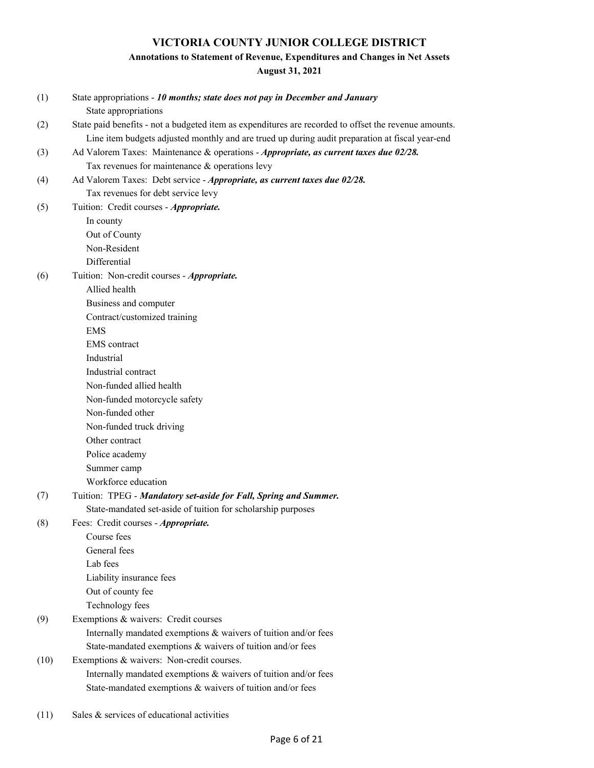# **Annotations to Statement of Revenue, Expenditures and Changes in Net Assets**

**August 31, 2021**

| (1)  | State appropriations - 10 months; state does not pay in December and January                          |
|------|-------------------------------------------------------------------------------------------------------|
|      | State appropriations                                                                                  |
| (2)  | State paid benefits - not a budgeted item as expenditures are recorded to offset the revenue amounts. |
|      | Line item budgets adjusted monthly and are trued up during audit preparation at fiscal year-end       |
| (3)  | Ad Valorem Taxes: Maintenance & operations - Appropriate, as current taxes due 02/28.                 |
|      | Tax revenues for maintenance & operations levy                                                        |
| (4)  | Ad Valorem Taxes: Debt service - Appropriate, as current taxes due 02/28.                             |
|      | Tax revenues for debt service levy                                                                    |
| (5)  | Tuition: Credit courses - Appropriate.                                                                |
|      | In county                                                                                             |
|      | Out of County                                                                                         |
|      | Non-Resident                                                                                          |
|      | Differential                                                                                          |
| (6)  | Tuition: Non-credit courses - Appropriate.                                                            |
|      | Allied health                                                                                         |
|      | Business and computer                                                                                 |
|      | Contract/customized training                                                                          |
|      | <b>EMS</b>                                                                                            |
|      | <b>EMS</b> contract                                                                                   |
|      | Industrial                                                                                            |
|      | Industrial contract                                                                                   |
|      | Non-funded allied health                                                                              |
|      | Non-funded motorcycle safety                                                                          |
|      | Non-funded other                                                                                      |
|      | Non-funded truck driving                                                                              |
|      | Other contract                                                                                        |
|      | Police academy                                                                                        |
|      | Summer camp                                                                                           |
|      | Workforce education                                                                                   |
| (7)  | Tuition: TPEG - Mandatory set-aside for Fall, Spring and Summer.                                      |
|      | State-mandated set-aside of tuition for scholarship purposes                                          |
| (8)  | Fees: Credit courses - Appropriate.                                                                   |
|      | Course fees                                                                                           |
|      | General fees                                                                                          |
|      | Lab fees                                                                                              |
|      | Liability insurance fees                                                                              |
|      | Out of county fee                                                                                     |
|      | Technology fees                                                                                       |
| (9)  | Exemptions & waivers: Credit courses                                                                  |
|      | Internally mandated exemptions & waivers of tuition and/or fees                                       |
|      | State-mandated exemptions & waivers of tuition and/or fees                                            |
| (10) | Exemptions & waivers: Non-credit courses.                                                             |
|      | Internally mandated exemptions & waivers of tuition and/or fees                                       |
|      | State-mandated exemptions & waivers of tuition and/or fees                                            |
|      |                                                                                                       |

(11) Sales & services of educational activities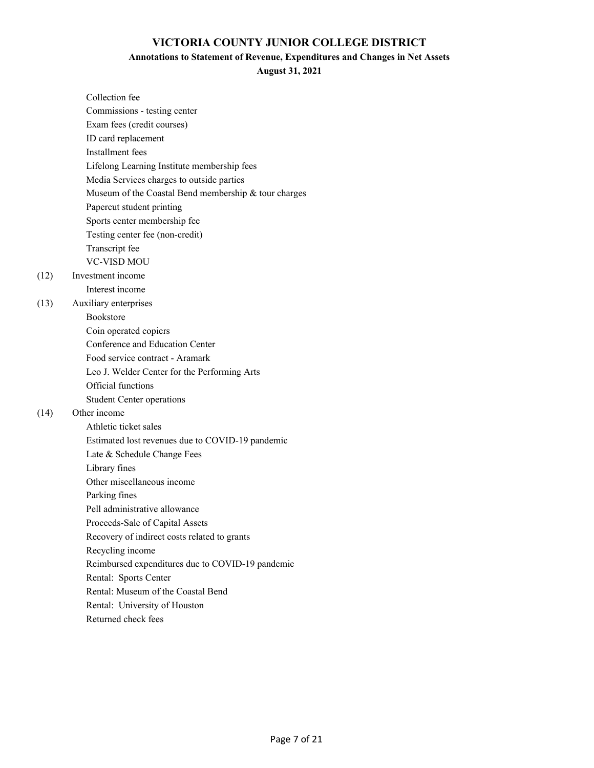#### **Annotations to Statement of Revenue, Expenditures and Changes in Net Assets**

**August 31, 2021**

| Collection fee                                       |
|------------------------------------------------------|
| Commissions - testing center                         |
| Exam fees (credit courses)                           |
| ID card replacement                                  |
| Installment fees                                     |
| Lifelong Learning Institute membership fees          |
| Media Services charges to outside parties            |
| Museum of the Coastal Bend membership & tour charges |
| Papercut student printing                            |
| Sports center membership fee                         |
| Testing center fee (non-credit)                      |
| Transcript fee                                       |
| <b>VC-VISD MOU</b>                                   |
| Investment income                                    |
| Interest income                                      |
| Auxiliary enterprises                                |
| <b>Bookstore</b>                                     |
| Coin operated copiers                                |
| Conference and Education Center                      |
| Food service contract - Aramark                      |
| Leo J. Welder Center for the Performing Arts         |
| Official functions                                   |
| <b>Student Center operations</b>                     |
| Other income                                         |
| Athletic ticket sales                                |
| Estimated lost revenues due to COVID-19 pandemic     |
| Late & Schedule Change Fees                          |
| Library fines                                        |
| Other miscellaneous income                           |
| Parking fines                                        |
| Pell administrative allowance                        |
| Proceeds-Sale of Capital Assets                      |
| Recovery of indirect costs related to grants         |
| Recycling income                                     |
| Reimbursed expenditures due to COVID-19 pandemic     |
| Rental: Sports Center                                |
| Rental: Museum of the Coastal Bend                   |
| Rental: University of Houston                        |
| Returned check fees                                  |

 $(12)$ 

(13)

 $(14)$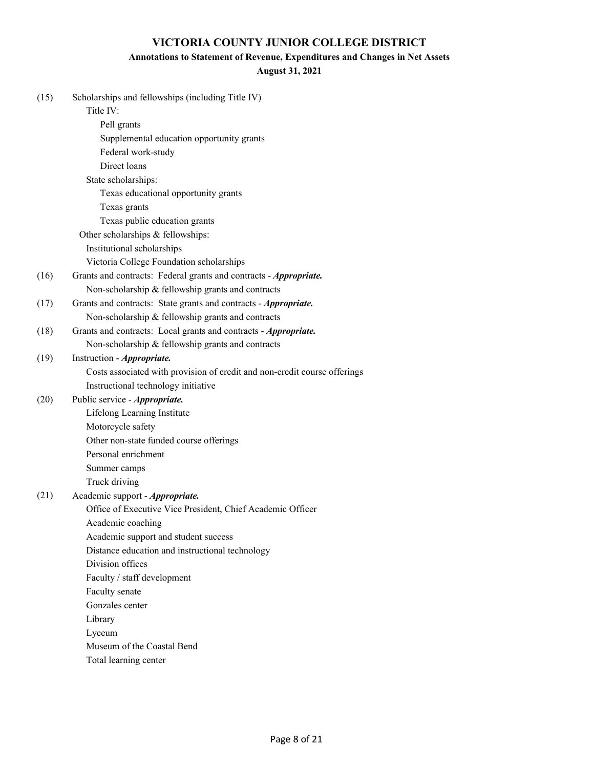#### **Annotations to Statement of Revenue, Expenditures and Changes in Net Assets**

#### **August 31, 2021**

| (15) | Scholarships and fellowships (including Title IV)                         |
|------|---------------------------------------------------------------------------|
|      | Title IV:                                                                 |
|      | Pell grants                                                               |
|      | Supplemental education opportunity grants                                 |
|      | Federal work-study                                                        |
|      | Direct loans                                                              |
|      | State scholarships:                                                       |
|      | Texas educational opportunity grants                                      |
|      | Texas grants                                                              |
|      | Texas public education grants                                             |
|      | Other scholarships & fellowships:                                         |
|      | Institutional scholarships                                                |
|      | Victoria College Foundation scholarships                                  |
| (16) | Grants and contracts: Federal grants and contracts - Appropriate.         |
|      | Non-scholarship & fellowship grants and contracts                         |
| (17) | Grants and contracts: State grants and contracts - Appropriate.           |
|      | Non-scholarship & fellowship grants and contracts                         |
| (18) | Grants and contracts: Local grants and contracts - Appropriate.           |
|      | Non-scholarship & fellowship grants and contracts                         |
| (19) | Instruction - <i>Appropriate</i> .                                        |
|      | Costs associated with provision of credit and non-credit course offerings |
|      | Instructional technology initiative                                       |
| (20) | Public service - Appropriate.                                             |
|      | Lifelong Learning Institute                                               |
|      | Motorcycle safety                                                         |
|      | Other non-state funded course offerings                                   |
|      | Personal enrichment                                                       |
|      | Summer camps                                                              |
|      | Truck driving                                                             |
| (21) | Academic support - Appropriate.                                           |
|      | Office of Executive Vice President, Chief Academic Officer                |
|      | Academic coaching                                                         |
|      | Academic support and student success                                      |
|      | Distance education and instructional technology                           |
|      | Division offices                                                          |
|      | Faculty / staff development                                               |
|      | Faculty senate                                                            |
|      | Gonzales center                                                           |
|      | Library                                                                   |
|      | Lyceum                                                                    |
|      | Museum of the Coastal Bend                                                |
|      | Total learning center                                                     |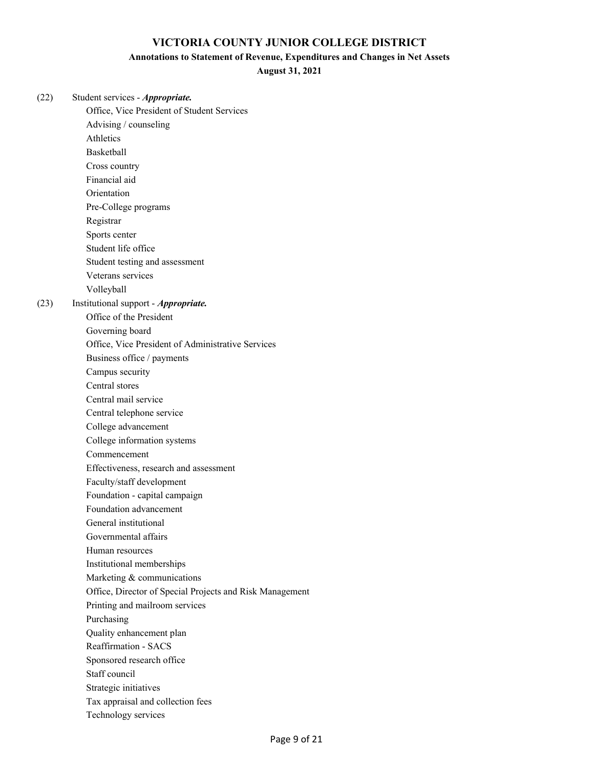#### **Annotations to Statement of Revenue, Expenditures and Changes in Net Assets**

**August 31, 2021**

| (22) | Student services - Appropriate.                          |
|------|----------------------------------------------------------|
|      | Office, Vice President of Student Services               |
|      | Advising / counseling                                    |
|      | Athletics                                                |
|      | Basketball                                               |
|      | Cross country                                            |
|      | Financial aid                                            |
|      | Orientation                                              |
|      | Pre-College programs                                     |
|      | Registrar                                                |
|      | Sports center                                            |
|      | Student life office                                      |
|      | Student testing and assessment                           |
|      | Veterans services                                        |
|      | Volleyball                                               |
| (23) | Institutional support - Appropriate.                     |
|      | Office of the President                                  |
|      | Governing board                                          |
|      | Office, Vice President of Administrative Services        |
|      | Business office / payments                               |
|      | Campus security                                          |
|      | Central stores                                           |
|      | Central mail service                                     |
|      | Central telephone service                                |
|      | College advancement                                      |
|      | College information systems                              |
|      | Commencement                                             |
|      | Effectiveness, research and assessment                   |
|      | Faculty/staff development                                |
|      | Foundation - capital campaign                            |
|      | Foundation advancement                                   |
|      | General institutional                                    |
|      | Governmental affairs                                     |
|      | Human resources                                          |
|      | Institutional memberships                                |
|      | Marketing & communications                               |
|      | Office, Director of Special Projects and Risk Management |
|      | Printing and mailroom services                           |
|      | Purchasing                                               |
|      | Quality enhancement plan                                 |
|      | <b>Reaffirmation - SACS</b>                              |
|      | Sponsored research office                                |
|      | Staff council                                            |
|      | Strategic initiatives                                    |
|      | Tax appraisal and collection fees                        |
|      | Technology services                                      |
|      |                                                          |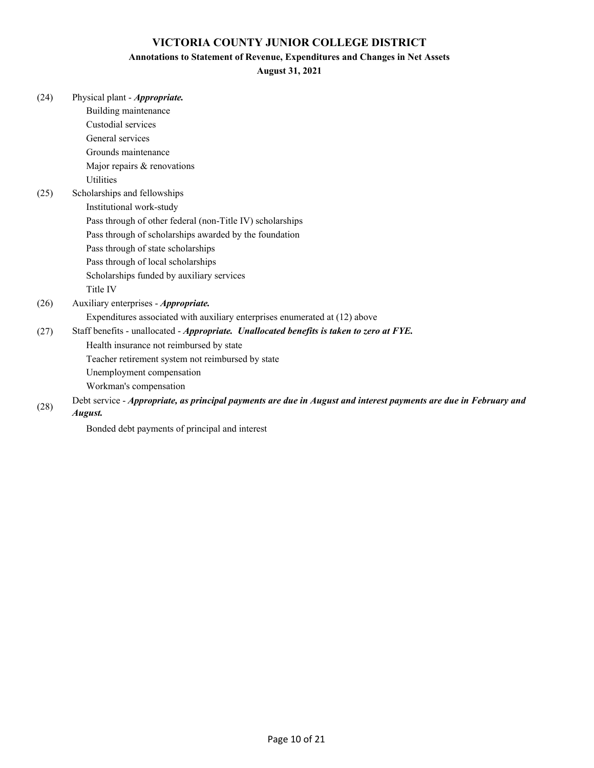#### **Annotations to Statement of Revenue, Expenditures and Changes in Net Assets**

#### **August 31, 2021**

| (24) | Physical plant - <i>Appropriate</i> .                                                                             |
|------|-------------------------------------------------------------------------------------------------------------------|
|      | Building maintenance                                                                                              |
|      | Custodial services                                                                                                |
|      | General services                                                                                                  |
|      | Grounds maintenance                                                                                               |
|      | Major repairs & renovations                                                                                       |
|      | Utilities                                                                                                         |
| (25) | Scholarships and fellowships                                                                                      |
|      | Institutional work-study                                                                                          |
|      | Pass through of other federal (non-Title IV) scholarships                                                         |
|      | Pass through of scholarships awarded by the foundation                                                            |
|      | Pass through of state scholarships                                                                                |
|      | Pass through of local scholarships                                                                                |
|      | Scholarships funded by auxiliary services                                                                         |
|      | Title IV                                                                                                          |
| (26) | Auxiliary enterprises - Appropriate.                                                                              |
|      | Expenditures associated with auxiliary enterprises enumerated at (12) above                                       |
| (27) | Staff benefits - unallocated - Appropriate. Unallocated benefits is taken to zero at FYE.                         |
|      | Health insurance not reimbursed by state                                                                          |
|      | Teacher retirement system not reimbursed by state                                                                 |
|      | Unemployment compensation                                                                                         |
|      | Workman's compensation                                                                                            |
| (28) | Debt service - Appropriate, as principal payments are due in August and interest payments are due in February and |

#### *August.*

Bonded debt payments of principal and interest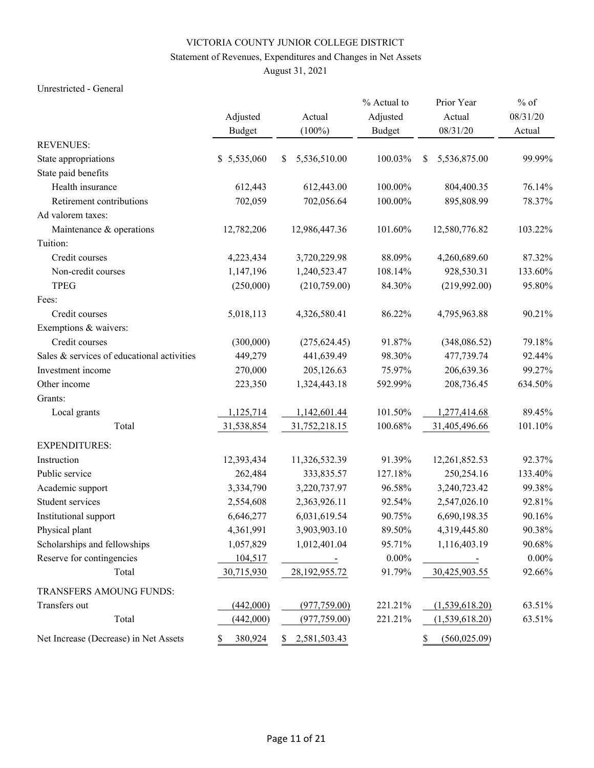### Statement of Revenues, Expenditures and Changes in Net Assets

August 31, 2021

#### Unrestricted - General

|                                            |               |                    | % Actual to   | Prior Year          | $%$ of   |
|--------------------------------------------|---------------|--------------------|---------------|---------------------|----------|
|                                            | Adjusted      | Actual             | Adjusted      | Actual              | 08/31/20 |
|                                            | <b>Budget</b> | $(100\%)$          | <b>Budget</b> | 08/31/20            | Actual   |
| <b>REVENUES:</b>                           |               |                    |               |                     |          |
| State appropriations                       | \$5,535,060   | \$<br>5,536,510.00 | 100.03%       | 5,536,875.00<br>\$  | 99.99%   |
| State paid benefits                        |               |                    |               |                     |          |
| Health insurance                           | 612,443       | 612,443.00         | 100.00%       | 804,400.35          | 76.14%   |
| Retirement contributions                   | 702,059       | 702,056.64         | 100.00%       | 895,808.99          | 78.37%   |
| Ad valorem taxes:                          |               |                    |               |                     |          |
| Maintenance & operations                   | 12,782,206    | 12,986,447.36      | 101.60%       | 12,580,776.82       | 103.22%  |
| Tuition:                                   |               |                    |               |                     |          |
| Credit courses                             | 4,223,434     | 3,720,229.98       | 88.09%        | 4,260,689.60        | 87.32%   |
| Non-credit courses                         | 1,147,196     | 1,240,523.47       | 108.14%       | 928,530.31          | 133.60%  |
| <b>TPEG</b>                                | (250,000)     | (210,759.00)       | 84.30%        | (219,992.00)        | 95.80%   |
| Fees:                                      |               |                    |               |                     |          |
| Credit courses                             | 5,018,113     | 4,326,580.41       | 86.22%        | 4,795,963.88        | 90.21%   |
| Exemptions & waivers:                      |               |                    |               |                     |          |
| Credit courses                             | (300,000)     | (275, 624.45)      | 91.87%        | (348,086.52)        | 79.18%   |
| Sales & services of educational activities | 449,279       | 441,639.49         | 98.30%        | 477,739.74          | 92.44%   |
| Investment income                          | 270,000       | 205,126.63         | 75.97%        | 206,639.36          | 99.27%   |
| Other income                               | 223,350       | 1,324,443.18       | 592.99%       | 208,736.45          | 634.50%  |
| Grants:                                    |               |                    |               |                     |          |
| Local grants                               | 1,125,714     | 1,142,601.44       | 101.50%       | 1,277,414.68        | 89.45%   |
| Total                                      | 31,538,854    | 31,752,218.15      | 100.68%       | 31,405,496.66       | 101.10%  |
| <b>EXPENDITURES:</b>                       |               |                    |               |                     |          |
| Instruction                                | 12,393,434    | 11,326,532.39      | 91.39%        | 12,261,852.53       | 92.37%   |
| Public service                             | 262,484       | 333,835.57         | 127.18%       | 250,254.16          | 133.40%  |
| Academic support                           | 3,334,790     | 3,220,737.97       | 96.58%        | 3,240,723.42        | 99.38%   |
| Student services                           | 2,554,608     | 2,363,926.11       | 92.54%        | 2,547,026.10        | 92.81%   |
| Institutional support                      | 6,646,277     | 6,031,619.54       | 90.75%        | 6,690,198.35        | 90.16%   |
| Physical plant                             | 4,361,991     | 3,903,903.10       | 89.50%        | 4,319,445.80        | 90.38%   |
| Scholarships and fellowships               | 1,057,829     | 1,012,401.04       | 95.71%        | 1,116,403.19        | 90.68%   |
| Reserve for contingencies                  | 104,517       |                    | $0.00\%$      |                     | $0.00\%$ |
| Total                                      | 30,715,930    | 28, 192, 955. 72   | 91.79%        | 30,425,903.55       | 92.66%   |
| TRANSFERS AMOUNG FUNDS:                    |               |                    |               |                     |          |
| Transfers out                              | (442,000)     | (977, 759.00)      | 221.21%       | (1,539,618.20)      | 63.51%   |
| Total                                      | (442,000)     | (977, 759.00)      | 221.21%       | (1,539,618.20)      | 63.51%   |
| Net Increase (Decrease) in Net Assets      | 380,924<br>S  | 2,581,503.43<br>S  |               | (560, 025.09)<br>\$ |          |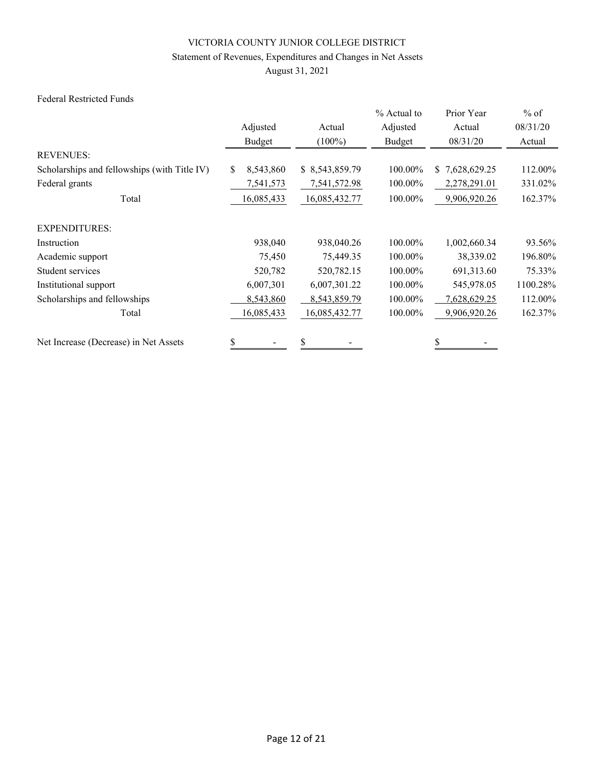### Statement of Revenues, Expenditures and Changes in Net Assets

August 31, 2021

#### Federal Restricted Funds

|                                              |                  |                | % Actual to | Prior Year                    | $%$ of   |
|----------------------------------------------|------------------|----------------|-------------|-------------------------------|----------|
|                                              | Adjusted         | Actual         | Adjusted    | Actual                        | 08/31/20 |
|                                              | Budget           | $(100\%)$      | Budget      | 08/31/20                      | Actual   |
| <b>REVENUES:</b>                             |                  |                |             |                               |          |
| Scholarships and fellowships (with Title IV) | 8,543,860<br>\$. | \$8,543,859.79 | 100.00%     | 7,628,629.25<br><sup>\$</sup> | 112.00%  |
| Federal grants                               | 7,541,573        | 7,541,572.98   | 100.00%     | 2,278,291.01                  | 331.02%  |
| Total                                        | 16,085,433       | 16,085,432.77  | 100.00%     | 9,906,920.26                  | 162.37%  |
| <b>EXPENDITURES:</b>                         |                  |                |             |                               |          |
| Instruction                                  | 938,040          | 938,040.26     | 100.00%     | 1,002,660.34                  | 93.56%   |
| Academic support                             | 75,450           | 75,449.35      | 100.00%     | 38,339.02                     | 196.80%  |
| Student services                             | 520,782          | 520,782.15     | 100.00%     | 691,313.60                    | 75.33%   |
| Institutional support                        | 6,007,301        | 6,007,301.22   | 100.00%     | 545,978.05                    | 1100.28% |
| Scholarships and fellowships                 | 8,543,860        | 8,543,859.79   | 100.00%     | 7,628,629.25                  | 112.00%  |
| Total                                        | 16,085,433       | 16,085,432.77  | 100.00%     | 9,906,920.26                  | 162.37%  |
| Net Increase (Decrease) in Net Assets        | \$               | \$             |             |                               |          |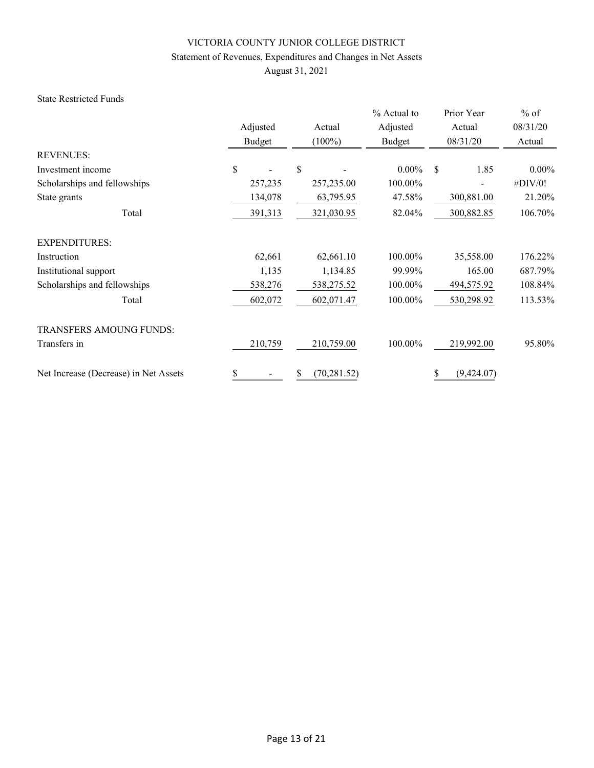### Statement of Revenues, Expenditures and Changes in Net Assets

August 31, 2021

#### State Restricted Funds

|                                       | Adjusted<br>Budget | Actual<br>$(100\%)$ | % Actual to<br>Adjusted<br>Budget | Prior Year<br>Actual<br>08/31/20 | $%$ of<br>08/31/20<br>Actual |
|---------------------------------------|--------------------|---------------------|-----------------------------------|----------------------------------|------------------------------|
| <b>REVENUES:</b>                      |                    |                     |                                   |                                  |                              |
| Investment income                     | \$                 | <sup>\$</sup>       | $0.00\%$                          | 1.85<br>S                        | $0.00\%$                     |
| Scholarships and fellowships          | 257,235            | 257,235.00          | 100.00%                           |                                  | #DIV/0!                      |
| State grants                          | 134,078            | 63,795.95           | 47.58%                            | 300,881.00                       | 21.20%                       |
| Total                                 | 391,313            | 321,030.95          | 82.04%                            | 300,882.85                       | 106.70%                      |
| <b>EXPENDITURES:</b>                  |                    |                     |                                   |                                  |                              |
| Instruction                           | 62,661             | 62,661.10           | 100.00%                           | 35,558.00                        | 176.22%                      |
| Institutional support                 | 1,135              | 1,134.85            | 99.99%                            | 165.00                           | 687.79%                      |
| Scholarships and fellowships          | 538,276            | 538,275.52          | 100.00%                           | 494,575.92                       | 108.84%                      |
| Total                                 | 602,072            | 602,071.47          | 100.00%                           | 530,298.92                       | 113.53%                      |
| <b>TRANSFERS AMOUNG FUNDS:</b>        |                    |                     |                                   |                                  |                              |
| Transfers in                          | 210,759            | 210,759.00          | 100.00%                           | 219,992.00                       | 95.80%                       |
| Net Increase (Decrease) in Net Assets | \$                 | (70, 281.52)        |                                   | (9,424.07)                       |                              |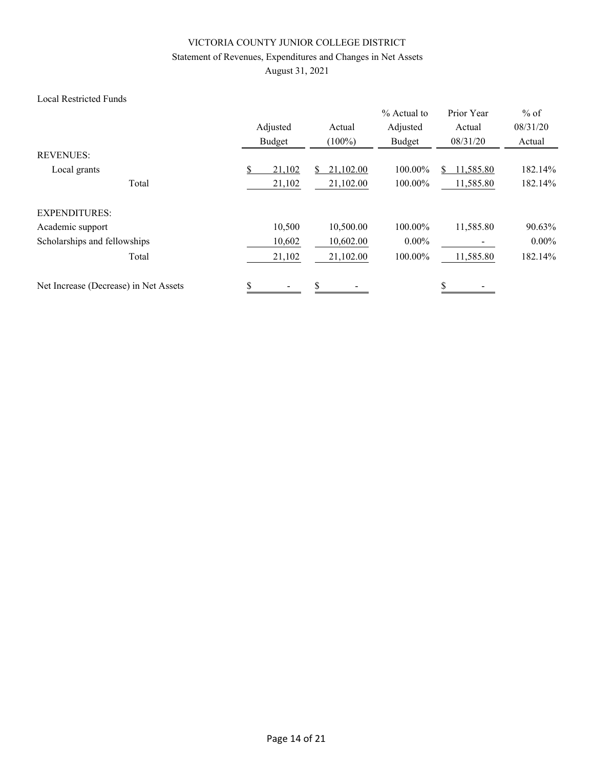### Statement of Revenues, Expenditures and Changes in Net Assets

August 31, 2021

#### Local Restricted Funds

|                                       | Adjusted | Actual              | % Actual to<br>Adjusted | Prior Year<br>Actual | $%$ of<br>08/31/20 |
|---------------------------------------|----------|---------------------|-------------------------|----------------------|--------------------|
|                                       | Budget   | $(100\%)$           | Budget                  | 08/31/20             | Actual             |
| <b>REVENUES:</b>                      |          |                     |                         |                      |                    |
| Local grants                          | \$       | 21,102.00<br>21,102 | 100.00%                 | 11,585.80            | 182.14%            |
| Total                                 |          | 21,102.00<br>21,102 | 100.00%                 | 11,585.80            | 182.14%            |
| <b>EXPENDITURES:</b>                  |          |                     |                         |                      |                    |
| Academic support                      |          | 10,500<br>10,500.00 | 100.00%                 | 11,585.80            | 90.63%             |
| Scholarships and fellowships          |          | 10,602.00<br>10,602 | $0.00\%$                |                      | $0.00\%$           |
| Total                                 |          | 21,102<br>21,102.00 | 100.00%                 | 11,585.80            | 182.14%            |
| Net Increase (Decrease) in Net Assets | \$       | \$                  |                         | \$                   |                    |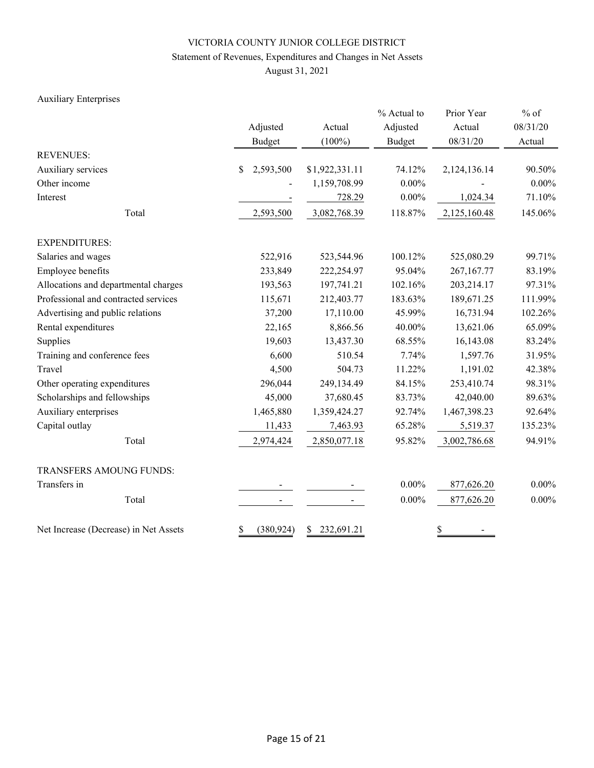### Statement of Revenues, Expenditures and Changes in Net Assets

August 31, 2021

### Auxiliary Enterprises

|                                       | Adjusted<br><b>Budget</b> | Actual<br>$(100\%)$ | % Actual to<br>Adjusted<br><b>Budget</b> | Prior Year<br>Actual<br>08/31/20 | $%$ of<br>08/31/20<br>Actual |  |
|---------------------------------------|---------------------------|---------------------|------------------------------------------|----------------------------------|------------------------------|--|
| <b>REVENUES:</b>                      |                           |                     |                                          |                                  |                              |  |
| Auxiliary services                    | 2,593,500<br>\$           | \$1,922,331.11      | 74.12%                                   | 2,124,136.14                     | 90.50%                       |  |
| Other income                          |                           | 1,159,708.99        | $0.00\%$                                 |                                  | $0.00\%$                     |  |
| Interest                              |                           | 728.29              | $0.00\%$                                 | 1,024.34                         | 71.10%                       |  |
| Total                                 | 2,593,500                 | 3,082,768.39        | 118.87%                                  | 2,125,160.48                     | 145.06%                      |  |
| <b>EXPENDITURES:</b>                  |                           |                     |                                          |                                  |                              |  |
| Salaries and wages                    | 522,916                   | 523,544.96          | 100.12%                                  | 525,080.29                       | 99.71%                       |  |
| Employee benefits                     | 233,849                   | 222,254.97          | 95.04%                                   | 267,167.77                       | 83.19%                       |  |
| Allocations and departmental charges  | 193,563                   | 197,741.21          | 102.16%                                  | 203,214.17                       | 97.31%                       |  |
| Professional and contracted services  | 115,671                   | 212,403.77          | 183.63%                                  | 189,671.25                       | 111.99%                      |  |
| Advertising and public relations      | 37,200                    | 17,110.00           | 45.99%                                   | 16,731.94                        | 102.26%                      |  |
| Rental expenditures                   | 22,165                    | 8,866.56            | 40.00%                                   | 13,621.06                        | 65.09%                       |  |
| Supplies                              | 19,603                    | 13,437.30           | 68.55%                                   | 16,143.08                        | 83.24%                       |  |
| Training and conference fees          | 6,600                     | 510.54              | 7.74%                                    | 1,597.76                         | 31.95%                       |  |
| Travel                                | 4,500                     | 504.73              | 11.22%                                   | 1,191.02                         | 42.38%                       |  |
| Other operating expenditures          | 296,044                   | 249,134.49          | 84.15%                                   | 253,410.74                       | 98.31%                       |  |
| Scholarships and fellowships          | 45,000                    | 37,680.45           | 83.73%                                   | 42,040.00                        | 89.63%                       |  |
| Auxiliary enterprises                 | 1,465,880                 | 1,359,424.27        | 92.74%                                   | 1,467,398.23                     | 92.64%                       |  |
| Capital outlay                        | 11,433                    | 7,463.93            | 65.28%                                   | 5,519.37                         | 135.23%                      |  |
| Total                                 | 2,974,424                 | 2,850,077.18        | 95.82%                                   | 3,002,786.68                     | 94.91%                       |  |
| TRANSFERS AMOUNG FUNDS:               |                           |                     |                                          |                                  |                              |  |
| Transfers in                          |                           |                     | $0.00\%$                                 | 877,626.20                       | $0.00\%$                     |  |
| Total                                 |                           |                     | $0.00\%$                                 | 877,626.20                       | $0.00\%$                     |  |
| Net Increase (Decrease) in Net Assets | (380, 924)<br>\$          | 232,691.21<br>\$    |                                          | \$                               |                              |  |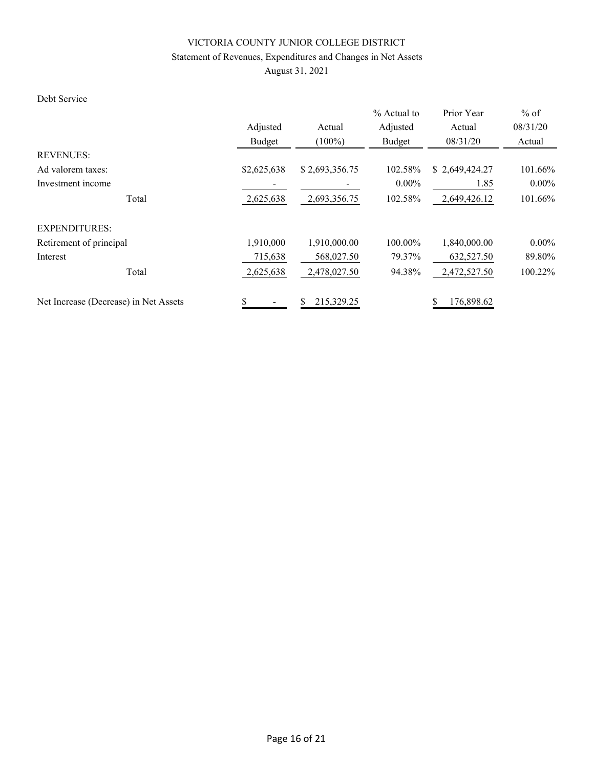### Statement of Revenues, Expenditures and Changes in Net Assets

August 31, 2021

### Debt Service

|                                       |             |                  | % Actual to | Prior Year     | $%$ of   |
|---------------------------------------|-------------|------------------|-------------|----------------|----------|
|                                       | Adjusted    | Actual           | Adjusted    | Actual         | 08/31/20 |
|                                       | Budget      | $(100\%)$        | Budget      | 08/31/20       | Actual   |
| <b>REVENUES:</b>                      |             |                  |             |                |          |
| Ad valorem taxes:                     | \$2,625,638 | \$2,693,356.75   | 102.58%     | \$2,649,424.27 | 101.66%  |
| Investment income                     |             |                  | $0.00\%$    | 1.85           | $0.00\%$ |
| Total                                 | 2,625,638   | 2,693,356.75     | 102.58%     | 2,649,426.12   | 101.66%  |
| <b>EXPENDITURES:</b>                  |             |                  |             |                |          |
| Retirement of principal               | 1,910,000   | 1,910,000.00     | 100.00%     | 1,840,000.00   | $0.00\%$ |
| Interest                              | 715,638     | 568,027.50       | 79.37%      | 632,527.50     | 89.80%   |
| Total                                 | 2,625,638   | 2,478,027.50     | 94.38%      | 2,472,527.50   | 100.22%  |
| Net Increase (Decrease) in Net Assets | \$          | 215,329.25<br>\$ |             | 176,898.62     |          |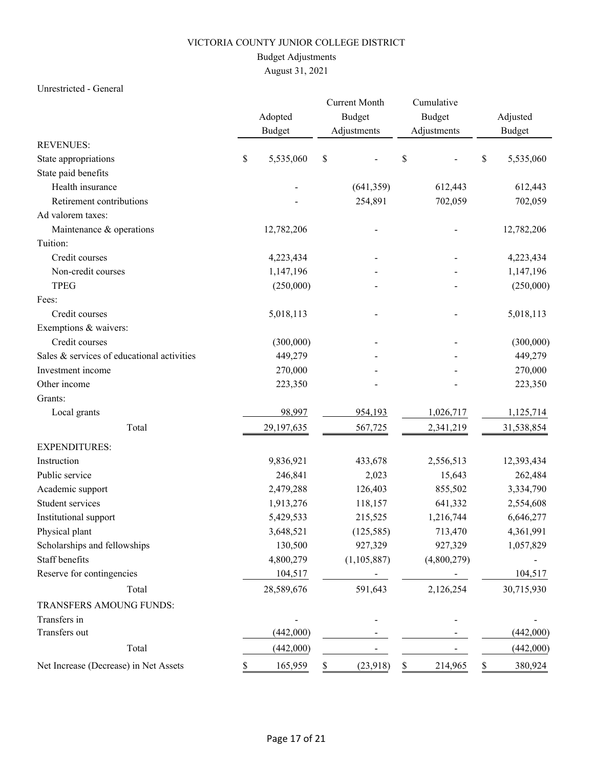### Budget Adjustments

# August 31, 2021

### Unrestricted - General

|                                            |    | Adopted<br><b>Budget</b> |    | <b>Current Month</b><br><b>Budget</b><br>Adjustments |    | Cumulative<br><b>Budget</b><br>Adjustments | Adjusted<br><b>Budget</b> |
|--------------------------------------------|----|--------------------------|----|------------------------------------------------------|----|--------------------------------------------|---------------------------|
| <b>REVENUES:</b>                           |    |                          |    |                                                      |    |                                            |                           |
| State appropriations                       | \$ | 5,535,060                | \$ |                                                      | \$ |                                            | \$<br>5,535,060           |
| State paid benefits                        |    |                          |    |                                                      |    |                                            |                           |
| Health insurance                           |    |                          |    | (641, 359)                                           |    | 612,443                                    | 612,443                   |
| Retirement contributions                   |    |                          |    | 254,891                                              |    | 702,059                                    | 702,059                   |
| Ad valorem taxes:                          |    |                          |    |                                                      |    |                                            |                           |
| Maintenance & operations                   |    | 12,782,206               |    |                                                      |    |                                            | 12,782,206                |
| Tuition:                                   |    |                          |    |                                                      |    |                                            |                           |
| Credit courses                             |    | 4,223,434                |    | $\overline{a}$                                       |    |                                            | 4,223,434                 |
| Non-credit courses                         |    | 1,147,196                |    |                                                      |    |                                            | 1,147,196                 |
| <b>TPEG</b>                                |    | (250,000)                |    |                                                      |    |                                            | (250,000)                 |
| Fees:                                      |    |                          |    |                                                      |    |                                            |                           |
| Credit courses                             |    | 5,018,113                |    |                                                      |    |                                            | 5,018,113                 |
| Exemptions & waivers:                      |    |                          |    |                                                      |    |                                            |                           |
| Credit courses                             |    | (300,000)                |    |                                                      |    |                                            | (300,000)                 |
| Sales & services of educational activities |    | 449,279                  |    |                                                      |    |                                            | 449,279                   |
| Investment income                          |    | 270,000                  |    |                                                      |    |                                            | 270,000                   |
| Other income                               |    | 223,350                  |    |                                                      |    |                                            | 223,350                   |
| Grants:                                    |    |                          |    |                                                      |    |                                            |                           |
| Local grants                               |    | 98,997                   |    | 954,193                                              |    | 1,026,717                                  | 1,125,714                 |
| Total                                      |    | 29,197,635               |    | 567,725                                              |    | 2,341,219                                  | 31,538,854                |
| <b>EXPENDITURES:</b>                       |    |                          |    |                                                      |    |                                            |                           |
| Instruction                                |    | 9,836,921                |    | 433,678                                              |    | 2,556,513                                  | 12,393,434                |
| Public service                             |    | 246,841                  |    | 2,023                                                |    | 15,643                                     | 262,484                   |
| Academic support                           |    | 2,479,288                |    | 126,403                                              |    | 855,502                                    | 3,334,790                 |
| Student services                           |    | 1,913,276                |    | 118,157                                              |    | 641,332                                    | 2,554,608                 |
| Institutional support                      |    | 5,429,533                |    | 215,525                                              |    | 1,216,744                                  | 6,646,277                 |
| Physical plant                             |    | 3,648,521                |    | (125, 585)                                           |    | 713,470                                    | 4,361,991                 |
| Scholarships and fellowships               |    | 130,500                  |    | 927,329                                              |    | 927,329                                    | 1,057,829                 |
| Staff benefits                             |    | 4,800,279                |    | (1, 105, 887)                                        |    | (4,800,279)                                |                           |
| Reserve for contingencies                  |    | 104,517                  |    |                                                      |    |                                            | 104,517                   |
| Total                                      |    | 28,589,676               |    | 591,643                                              |    | 2,126,254                                  | 30,715,930                |
| TRANSFERS AMOUNG FUNDS:                    |    |                          |    |                                                      |    |                                            |                           |
| Transfers in                               |    |                          |    |                                                      |    |                                            |                           |
| Transfers out                              |    | (442,000)                |    |                                                      |    |                                            | (442,000)                 |
| Total                                      |    | (442,000)                |    |                                                      |    |                                            | (442,000)                 |
| Net Increase (Decrease) in Net Assets      |    | 165,959                  | \$ | (23,918)                                             | \$ | 214,965                                    | \$<br>380,924             |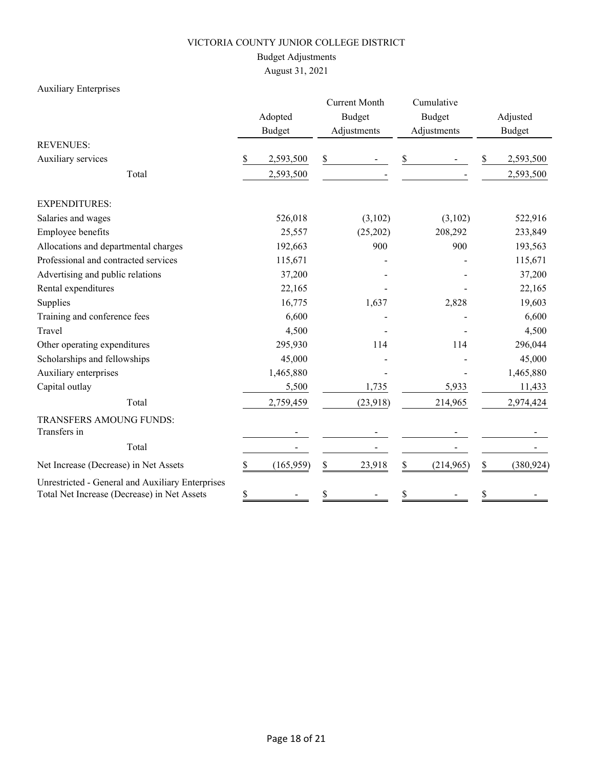### Budget Adjustments

August 31, 2021

# Auxiliary Enterprises

|                                                                                                 |         |               | <b>Current Month</b> |               | Cumulative |               |               |            |  |
|-------------------------------------------------------------------------------------------------|---------|---------------|----------------------|---------------|------------|---------------|---------------|------------|--|
|                                                                                                 | Adopted |               |                      | <b>Budget</b> |            | <b>Budget</b> |               | Adjusted   |  |
|                                                                                                 |         | <b>Budget</b> |                      | Adjustments   |            | Adjustments   | <b>Budget</b> |            |  |
| <b>REVENUES:</b>                                                                                |         |               |                      |               |            |               |               |            |  |
| Auxiliary services                                                                              | \$      | 2,593,500     | \$                   |               | \$         |               | \$            | 2,593,500  |  |
| Total                                                                                           |         | 2,593,500     |                      |               |            |               |               | 2,593,500  |  |
| <b>EXPENDITURES:</b>                                                                            |         |               |                      |               |            |               |               |            |  |
| Salaries and wages                                                                              |         | 526,018       |                      | (3,102)       |            | (3,102)       |               | 522,916    |  |
| Employee benefits                                                                               |         | 25,557        |                      | (25,202)      |            | 208,292       |               | 233,849    |  |
| Allocations and departmental charges                                                            |         | 192,663       |                      | 900           |            | 900           |               | 193,563    |  |
| Professional and contracted services                                                            |         | 115,671       |                      |               |            |               |               | 115,671    |  |
| Advertising and public relations                                                                |         | 37,200        |                      |               |            |               |               | 37,200     |  |
| Rental expenditures                                                                             |         | 22,165        |                      |               |            |               |               | 22,165     |  |
| Supplies                                                                                        |         | 16,775        |                      | 1,637         |            | 2,828         |               | 19,603     |  |
| Training and conference fees                                                                    |         | 6,600         |                      |               |            |               |               | 6,600      |  |
| Travel                                                                                          |         | 4,500         |                      |               |            |               |               | 4,500      |  |
| Other operating expenditures                                                                    |         | 295,930       |                      | 114           |            | 114           |               | 296,044    |  |
| Scholarships and fellowships                                                                    |         | 45,000        |                      |               |            |               |               | 45,000     |  |
| Auxiliary enterprises                                                                           |         | 1,465,880     |                      |               |            |               |               | 1,465,880  |  |
| Capital outlay                                                                                  |         | 5,500         |                      | 1,735         |            | 5,933         |               | 11,433     |  |
| Total                                                                                           |         | 2,759,459     |                      | (23,918)      |            | 214,965       |               | 2,974,424  |  |
| TRANSFERS AMOUNG FUNDS:                                                                         |         |               |                      |               |            |               |               |            |  |
| Transfers in                                                                                    |         |               |                      |               |            |               |               |            |  |
| Total                                                                                           |         |               |                      |               |            |               |               |            |  |
| Net Increase (Decrease) in Net Assets                                                           | \$      | (165, 959)    | \$                   | 23,918        | \$         | (214,965)     | \$            | (380, 924) |  |
| Unrestricted - General and Auxiliary Enterprises<br>Total Net Increase (Decrease) in Net Assets | \$      |               | \$                   |               | \$         |               | \$            |            |  |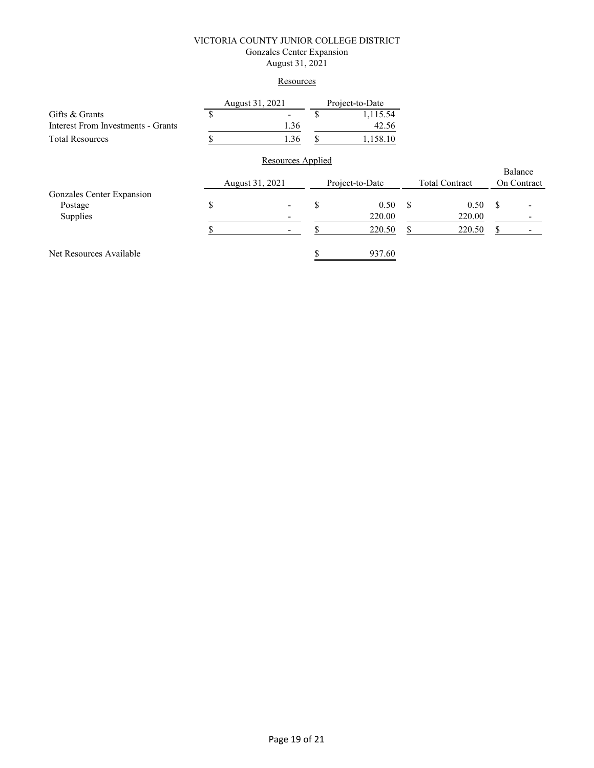#### VICTORIA COUNTY JUNIOR COLLEGE DISTRICT Gonzales Center Expansion August 31, 2021

### **Resources**

|                                    |    | August 31, 2021          |    | Project-to-Date |               |                       |               |                        |
|------------------------------------|----|--------------------------|----|-----------------|---------------|-----------------------|---------------|------------------------|
| Gifts & Grants                     | S  |                          | \$ | 1,115.54        |               |                       |               |                        |
| Interest From Investments - Grants |    | 1.36                     |    | 42.56           |               |                       |               |                        |
| <b>Total Resources</b>             |    | 1.36                     | S  | 1,158.10        |               |                       |               |                        |
|                                    |    | <b>Resources Applied</b> |    |                 |               |                       |               |                        |
|                                    |    | August 31, 2021          |    | Project-to-Date |               | <b>Total Contract</b> |               | Balance<br>On Contract |
| Gonzales Center Expansion          |    |                          |    |                 |               |                       |               |                        |
| Postage                            | \$ |                          | S  | 0.50            | <sup>\$</sup> | 0.50                  | <sup>\$</sup> |                        |
| Supplies                           |    |                          |    | 220.00          |               | 220.00                |               |                        |
|                                    |    |                          |    | 220.50          | S             | 220.50                | \$            |                        |
| Net Resources Available            |    |                          |    | 937.60          |               |                       |               |                        |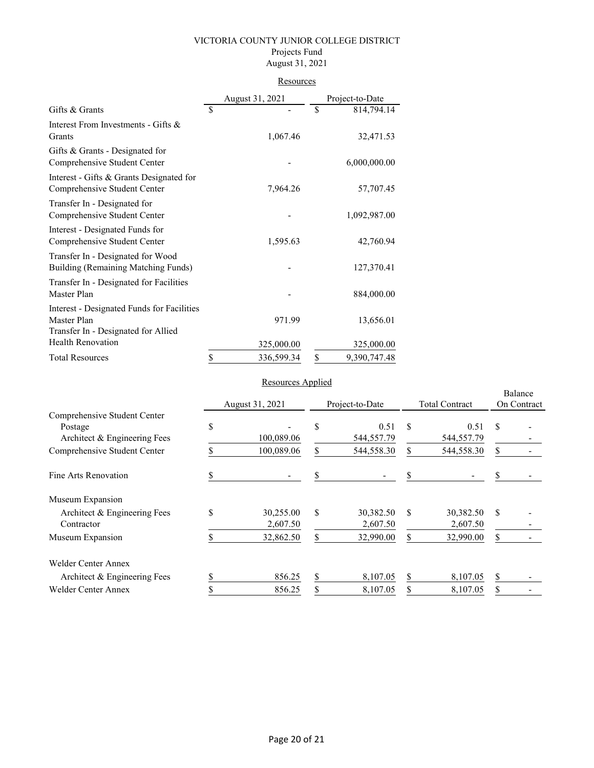### VICTORIA COUNTY JUNIOR COLLEGE DISTRICT Projects Fund August 31, 2021

| R esources |
|------------|
|------------|

|                                                                                                  | August 31, 2021 |            |    | Project-to-Date |
|--------------------------------------------------------------------------------------------------|-----------------|------------|----|-----------------|
| Gifts & Grants                                                                                   | \$              |            | \$ | 814,794.14      |
| Interest From Investments - Gifts &<br>Grants                                                    |                 | 1,067.46   |    | 32,471.53       |
| Gifts & Grants - Designated for<br>Comprehensive Student Center                                  |                 |            |    | 6,000,000.00    |
| Interest - Gifts & Grants Designated for<br>Comprehensive Student Center                         |                 | 7,964.26   |    | 57,707.45       |
| Transfer In - Designated for<br>Comprehensive Student Center                                     |                 |            |    | 1,092,987.00    |
| Interest - Designated Funds for<br>Comprehensive Student Center                                  |                 | 1,595.63   |    | 42,760.94       |
| Transfer In - Designated for Wood<br>Building (Remaining Matching Funds)                         |                 |            |    | 127,370.41      |
| Transfer In - Designated for Facilities<br>Master Plan                                           |                 |            |    | 884,000.00      |
| Interest - Designated Funds for Facilities<br>Master Plan<br>Transfer In - Designated for Allied |                 | 971.99     |    | 13,656.01       |
| <b>Health Renovation</b>                                                                         |                 | 325,000.00 |    | 325,000.00      |
| <b>Total Resources</b>                                                                           | \$              | 336,599.34 | \$ | 9,390,747.48    |

### Resources Applied

|                                                                         |    | $1000$ $\mu$ $\mu$ $\mu$ $\mu$ $\mu$ $\mu$ |    |                       |               |                       |                        |  |
|-------------------------------------------------------------------------|----|--------------------------------------------|----|-----------------------|---------------|-----------------------|------------------------|--|
|                                                                         |    |                                            |    |                       |               |                       | Balance<br>On Contract |  |
|                                                                         |    | August 31, 2021                            |    | Project-to-Date       |               | <b>Total Contract</b> |                        |  |
| Comprehensive Student Center<br>Postage<br>Architect & Engineering Fees | \$ | 100,089.06                                 | \$ | 0.51<br>544,557.79    | S             | 0.51<br>544,557.79    | \$                     |  |
| Comprehensive Student Center                                            |    | 100,089.06                                 |    | 544,558.30            |               | 544,558.30            | \$                     |  |
| Fine Arts Renovation                                                    | S  |                                            | S  |                       |               |                       |                        |  |
| Museum Expansion                                                        |    |                                            |    |                       |               |                       |                        |  |
| Architect & Engineering Fees<br>Contractor                              | \$ | 30,255.00<br>2,607.50                      | \$ | 30,382.50<br>2,607.50 | <sup>\$</sup> | 30,382.50<br>2,607.50 | <sup>\$</sup>          |  |
| Museum Expansion                                                        |    | 32,862.50                                  | \$ | 32,990.00             | S             | 32,990.00             | \$                     |  |
| Welder Center Annex                                                     |    |                                            |    |                       |               |                       |                        |  |
| Architect & Engineering Fees                                            | S  | 856.25                                     | \$ | 8,107.05              | S             | 8,107.05              | \$                     |  |
| <b>Welder Center Annex</b>                                              |    | 856.25                                     | \$ | 8,107.05              |               | 8,107.05              |                        |  |